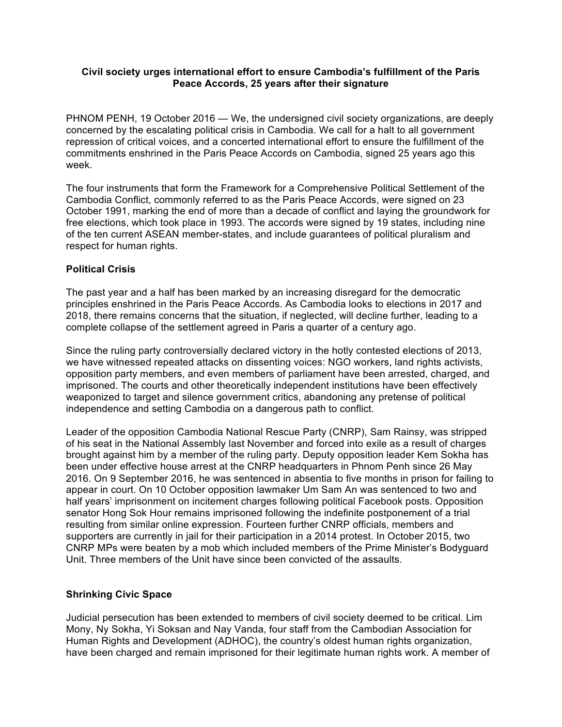### **Civil society urges international effort to ensure Cambodia's fulfillment of the Paris Peace Accords, 25 years after their signature**

PHNOM PENH, 19 October 2016 — We, the undersigned civil society organizations, are deeply concerned by the escalating political crisis in Cambodia. We call for a halt to all government repression of critical voices, and a concerted international effort to ensure the fulfillment of the commitments enshrined in the Paris Peace Accords on Cambodia, signed 25 years ago this week.

The four instruments that form the Framework for a Comprehensive Political Settlement of the Cambodia Conflict, commonly referred to as the Paris Peace Accords, were signed on 23 October 1991, marking the end of more than a decade of conflict and laying the groundwork for free elections, which took place in 1993. The accords were signed by 19 states, including nine of the ten current ASEAN member-states, and include guarantees of political pluralism and respect for human rights.

# **Political Crisis**

The past year and a half has been marked by an increasing disregard for the democratic principles enshrined in the Paris Peace Accords. As Cambodia looks to elections in 2017 and 2018, there remains concerns that the situation, if neglected, will decline further, leading to a complete collapse of the settlement agreed in Paris a quarter of a century ago.

Since the ruling party controversially declared victory in the hotly contested elections of 2013, we have witnessed repeated attacks on dissenting voices: NGO workers, land rights activists, opposition party members, and even members of parliament have been arrested, charged, and imprisoned. The courts and other theoretically independent institutions have been effectively weaponized to target and silence government critics, abandoning any pretense of political independence and setting Cambodia on a dangerous path to conflict.

Leader of the opposition Cambodia National Rescue Party (CNRP), Sam Rainsy, was stripped of his seat in the National Assembly last November and forced into exile as a result of charges brought against him by a member of the ruling party. Deputy opposition leader Kem Sokha has been under effective house arrest at the CNRP headquarters in Phnom Penh since 26 May 2016. On 9 September 2016, he was sentenced in absentia to five months in prison for failing to appear in court. On 10 October opposition lawmaker Um Sam An was sentenced to two and half years' imprisonment on incitement charges following political Facebook posts. Opposition senator Hong Sok Hour remains imprisoned following the indefinite postponement of a trial resulting from similar online expression. Fourteen further CNRP officials, members and supporters are currently in jail for their participation in a 2014 protest. In October 2015, two CNRP MPs were beaten by a mob which included members of the Prime Minister's Bodyguard Unit. Three members of the Unit have since been convicted of the assaults.

# **Shrinking Civic Space**

Judicial persecution has been extended to members of civil society deemed to be critical. Lim Mony, Ny Sokha, Yi Soksan and Nay Vanda, four staff from the Cambodian Association for Human Rights and Development (ADHOC), the country's oldest human rights organization, have been charged and remain imprisoned for their legitimate human rights work. A member of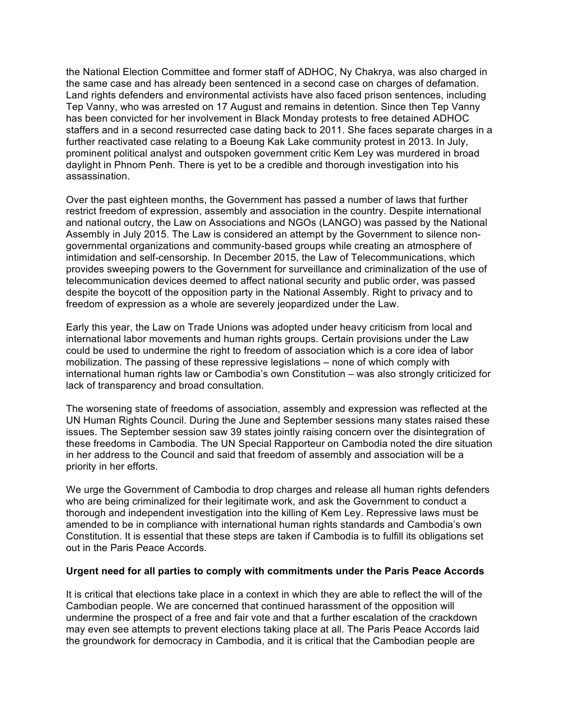the National Election Committee and former staff of ADHOC, Ny Chakrya, was also charged in the same case and has already been sentenced in a second case on charges of defamation. Land rights defenders and environmental activists have also faced prison sentences, including Tep Vanny, who was arrested on 17 August and remains in detention. Since then Tep Vanny has been convicted for her involvement in Black Monday protests to free detained ADHOC staffers and in a second resurrected case dating back to 2011. She faces separate charges in a further reactivated case relating to a Boeung Kak Lake community protest in 2013. In July, prominent political analyst and outspoken government critic Kem Ley was murdered in broad daylight in Phnom Penh. There is yet to be a credible and thorough investigation into his assassination.

Over the past eighteen months, the Government has passed a number of laws that further restrict freedom of expression, assembly and association in the country. Despite international and national outcry, the Law on Associations and NGOs (LANGO) was passed by the National Assembly in July 2015. The Law is considered an attempt by the Government to silence nongovernmental organizations and community-based groups while creating an atmosphere of intimidation and self-censorship. In December 2015, the Law of Telecommunications, which provides sweeping powers to the Government for surveillance and criminalization of the use of telecommunication devices deemed to affect national security and public order, was passed despite the boycott of the opposition party in the National Assembly. Right to privacy and to freedom of expression as a whole are severely jeopardized under the Law.

Early this year, the Law on Trade Unions was adopted under heavy criticism from local and international labor movements and human rights groups. Certain provisions under the Law could be used to undermine the right to freedom of association which is a core idea of labor mobilization. The passing of these repressive legislations – none of which comply with international human rights law or Cambodia's own Constitution – was also strongly criticized for lack of transparency and broad consultation.

The worsening state of freedoms of association, assembly and expression was reflected at the UN Human Rights Council. During the June and September sessions many states raised these issues. The September session saw 39 states jointly raising concern over the disintegration of these freedoms in Cambodia. The UN Special Rapporteur on Cambodia noted the dire situation in her address to the Council and said that freedom of assembly and association will be a priority in her efforts.

We urge the Government of Cambodia to drop charges and release all human rights defenders who are being criminalized for their legitimate work, and ask the Government to conduct a thorough and independent investigation into the killing of Kem Ley. Repressive laws must be amended to be in compliance with international human rights standards and Cambodia's own Constitution. It is essential that these steps are taken if Cambodia is to fulfill its obligations set out in the Paris Peace Accords.

# **Urgent need for all parties to comply with commitments under the Paris Peace Accords**

It is critical that elections take place in a context in which they are able to reflect the will of the Cambodian people. We are concerned that continued harassment of the opposition will undermine the prospect of a free and fair vote and that a further escalation of the crackdown may even see attempts to prevent elections taking place at all. The Paris Peace Accords laid the groundwork for democracy in Cambodia, and it is critical that the Cambodian people are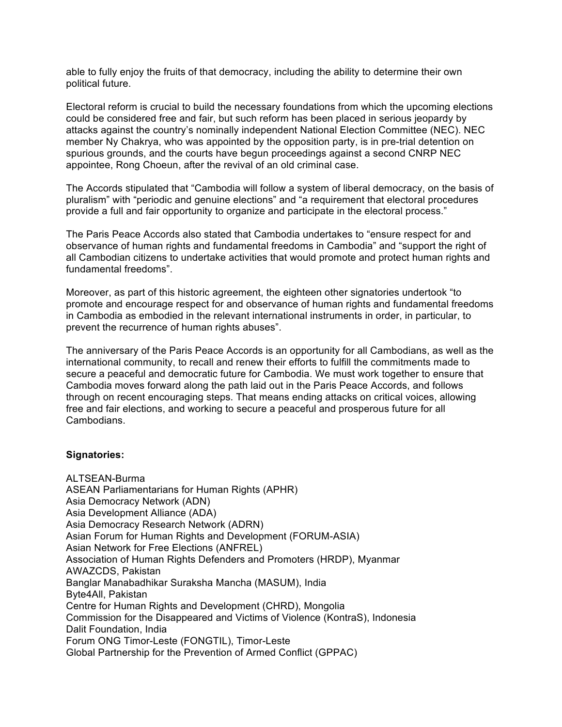able to fully enjoy the fruits of that democracy, including the ability to determine their own political future.

Electoral reform is crucial to build the necessary foundations from which the upcoming elections could be considered free and fair, but such reform has been placed in serious jeopardy by attacks against the country's nominally independent National Election Committee (NEC). NEC member Ny Chakrya, who was appointed by the opposition party, is in pre-trial detention on spurious grounds, and the courts have begun proceedings against a second CNRP NEC appointee, Rong Choeun, after the revival of an old criminal case.

The Accords stipulated that "Cambodia will follow a system of liberal democracy, on the basis of pluralism" with "periodic and genuine elections" and "a requirement that electoral procedures provide a full and fair opportunity to organize and participate in the electoral process."

The Paris Peace Accords also stated that Cambodia undertakes to "ensure respect for and observance of human rights and fundamental freedoms in Cambodia" and "support the right of all Cambodian citizens to undertake activities that would promote and protect human rights and fundamental freedoms".

Moreover, as part of this historic agreement, the eighteen other signatories undertook "to promote and encourage respect for and observance of human rights and fundamental freedoms in Cambodia as embodied in the relevant international instruments in order, in particular, to prevent the recurrence of human rights abuses".

The anniversary of the Paris Peace Accords is an opportunity for all Cambodians, as well as the international community, to recall and renew their efforts to fulfill the commitments made to secure a peaceful and democratic future for Cambodia. We must work together to ensure that Cambodia moves forward along the path laid out in the Paris Peace Accords, and follows through on recent encouraging steps. That means ending attacks on critical voices, allowing free and fair elections, and working to secure a peaceful and prosperous future for all **Cambodians** 

### **Signatories:**

ALTSEAN-Burma ASEAN Parliamentarians for Human Rights (APHR) Asia Democracy Network (ADN) Asia Development Alliance (ADA) Asia Democracy Research Network (ADRN) Asian Forum for Human Rights and Development (FORUM-ASIA) Asian Network for Free Elections (ANFREL) Association of Human Rights Defenders and Promoters (HRDP), Myanmar AWAZCDS, Pakistan Banglar Manabadhikar Suraksha Mancha (MASUM), India Byte4All, Pakistan Centre for Human Rights and Development (CHRD), Mongolia Commission for the Disappeared and Victims of Violence (KontraS), Indonesia Dalit Foundation, India Forum ONG Timor-Leste (FONGTIL), Timor-Leste Global Partnership for the Prevention of Armed Conflict (GPPAC)